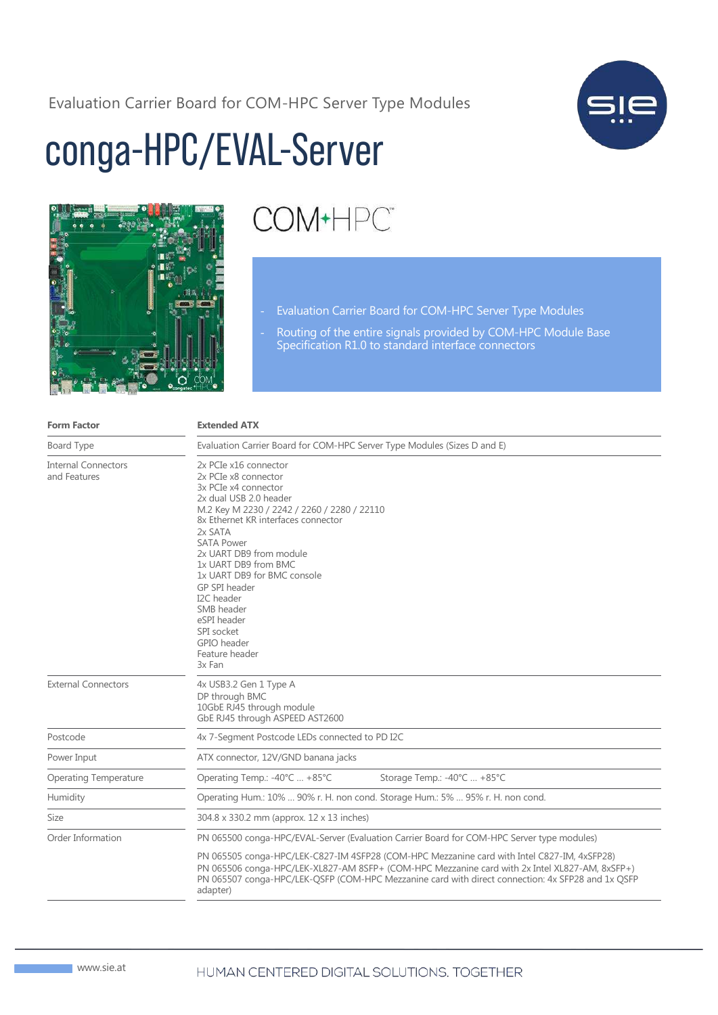Evaluation Carrier Board for COM-HPC Server Type Modules



## conga-HPC/EVAL-Server



## COM+HPC<sup>®</sup>

- Evaluation Carrier Board for COM-HPC Server Type Modules
- Routing of the entire signals provided by COM-HPC Module Base Specification R1.0 to standard interface connectors

| <b>Form Factor</b>                         | <b>Extended ATX</b>                                                                                                                                                                                                                                                                                                                                                                                                          |
|--------------------------------------------|------------------------------------------------------------------------------------------------------------------------------------------------------------------------------------------------------------------------------------------------------------------------------------------------------------------------------------------------------------------------------------------------------------------------------|
| Board Type                                 | Evaluation Carrier Board for COM-HPC Server Type Modules (Sizes D and E)                                                                                                                                                                                                                                                                                                                                                     |
| <b>Internal Connectors</b><br>and Features | 2x PCIe x16 connector<br>2x PCIe x8 connector<br>3x PCIe x4 connector<br>2x dual USB 2.0 header<br>M.2 Key M 2230 / 2242 / 2260 / 2280 / 22110<br>8x Ethernet KR interfaces connector<br>2x SATA<br><b>SATA Power</b><br>2x UART DB9 from module<br>1x UART DB9 from BMC<br>1x UART DB9 for BMC console<br>GP SPI header<br>I2C header<br>SMB header<br>eSPI header<br>SPI socket<br>GPIO header<br>Feature header<br>3x Fan |
| <b>External Connectors</b>                 | 4x USB3.2 Gen 1 Type A<br>DP through BMC<br>10GbE RJ45 through module<br>GbE RJ45 through ASPEED AST2600                                                                                                                                                                                                                                                                                                                     |
| Postcode                                   | 4x 7-Segment Postcode LEDs connected to PD I2C                                                                                                                                                                                                                                                                                                                                                                               |
| Power Input                                | ATX connector, 12V/GND banana jacks                                                                                                                                                                                                                                                                                                                                                                                          |
| Operating Temperature                      | Operating Temp.: -40°C  +85°C<br>Storage Temp.: -40°C  +85°C                                                                                                                                                                                                                                                                                                                                                                 |
| Humidity                                   | Operating Hum.: 10%  90% r. H. non cond. Storage Hum.: 5%  95% r. H. non cond.                                                                                                                                                                                                                                                                                                                                               |
| Size                                       | 304.8 x 330.2 mm (approx. 12 x 13 inches)                                                                                                                                                                                                                                                                                                                                                                                    |
| Order Information                          | PN 065500 conga-HPC/EVAL-Server (Evaluation Carrier Board for COM-HPC Server type modules)<br>PN 065505 conga-HPC/LEK-C827-IM 4SFP28 (COM-HPC Mezzanine card with Intel C827-IM, 4xSFP28)<br>PN 065506 conga-HPC/LEK-XL827-AM 8SFP+ (COM-HPC Mezzanine card with 2x Intel XL827-AM, 8xSFP+)<br>PN 065507 conga-HPC/LEK-QSFP (COM-HPC Mezzanine card with direct connection: 4x SFP28 and 1x QSFP<br>adapter)                 |